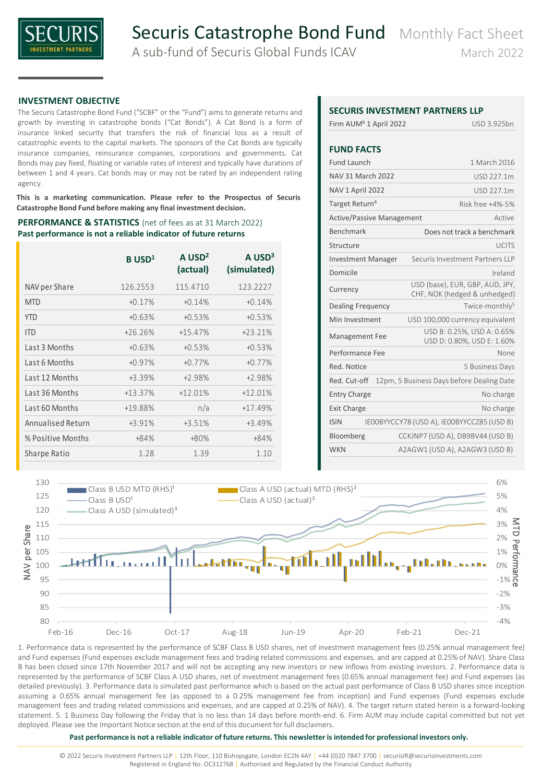

### **INVESTMENT OBJECTIVE**

The Securis Catastrophe Bond Fund ("SCBF" or the "Fund") aims to generate returns and growth by investing in catastrophe bonds ("Cat Bonds"). A Cat Bond is a form of insurance linked security that transfers the risk of financial loss as a result of catastrophic events to the capital markets. The sponsors of the Cat Bonds are typically insurance companies, reinsurance companies, corporations and governments. Cat Bonds may pay fixed, floating or variable rates of interest and typically have durations of between 1 and 4 years. Cat bonds may or may not be rated by an independent rating agency.

**This is a marketing communication. Please refer to the Prospectus of Securis Catastrophe Bond Fund before making any final investment decision.**

#### **PERFORMANCE & STATISTICS** (net of fees as at 31 March 2022) **Past performance is not a reliable indicator of future returns**

|                   | $B$ USD <sup>1</sup> | $A$ USD <sup>2</sup><br>(actual) | $A$ USD <sup>3</sup><br>(simulated) |
|-------------------|----------------------|----------------------------------|-------------------------------------|
| NAV per Share     | 126.2553             | 115.4710                         | 123.2227                            |
| <b>MTD</b>        | $+0.17%$             | $+0.14%$                         | $+0.14%$                            |
| <b>YTD</b>        | $+0.63%$             | $+0.53%$                         | $+0.53%$                            |
| <b>ITD</b>        | $+26.26%$            | $+15.47%$                        | $+23.21%$                           |
| Last 3 Months     | $+0.63%$             | $+0.53%$                         | $+0.53%$                            |
| Last 6 Months     | $+0.97%$             | $+0.77%$                         | $+0.77%$                            |
| Last 12 Months    | +3.39%               | $+2.98%$                         | $+2.98%$                            |
| Last 36 Months    | $+13.37%$            | $+12.01%$                        | $+12.01%$                           |
| Last 60 Months    | +19.88%              | n/a                              | $+17.49%$                           |
| Annualised Return | +3.91%               | $+3.51%$                         | $+3.49%$                            |
| % Positive Months | $+84%$               | $+80%$                           | $+84%$                              |
| Sharpe Ratio      | 1.28                 | 1.39                             | 1.10                                |

## **SECURIC INVESTMENT PARTNERS LLD**

|                                    | SECURIS INVESTIVIENT PARTINERS LLP                              |
|------------------------------------|-----------------------------------------------------------------|
| Firm AUM <sup>6</sup> 1 April 2022 | USD 3.925bn                                                     |
| <b>FUND FACTS</b>                  |                                                                 |
|                                    |                                                                 |
| <b>Fund Launch</b>                 | 1 March 2016                                                    |
| <b>NAV 31 March 2022</b>           | USD 227.1m                                                      |
| NAV 1 April 2022                   | USD 227.1m                                                      |
| Target Return <sup>4</sup>         | Risk free +4%-5%                                                |
| <b>Active/Passive Management</b>   | Active                                                          |
| Benchmark                          | Does not track a benchmark                                      |
| Structure                          | LICITS                                                          |
| <b>Investment Manager</b>          | Securis Investment Partners LLP                                 |
| Domicile                           | Ireland                                                         |
| Currency                           | USD (base), EUR, GBP, AUD, JPY,<br>CHF, NOK (hedged & unhedged) |
| <b>Dealing Frequency</b>           | Twice-monthly <sup>5</sup>                                      |
| Min Investment                     | USD 100,000 currency equivalent                                 |
| Management Fee                     | USD B: 0.25%, USD A: 0.65%<br>USD D: 0.80%, USD E: 1.60%        |
| Performance Fee                    | None                                                            |
| Red. Notice                        | 5 Business Days                                                 |
| Red. Cut-off                       | 12pm, 5 Business Days before Dealing Date                       |
| <b>Entry Charge</b>                | No charge                                                       |
| <b>Exit Charge</b>                 | No charge                                                       |
| <b>ISIN</b>                        | IEOOBYYCCY78 (USD A), IEOOBYYCCZ85 (USD B)                      |
| Bloomberg                          | CCKJNP7 (USD A), DB9BV44 (USD B)                                |
| <b>WKN</b>                         | A2AGW1 (USD A), A2AGW3 (USD B)                                  |
|                                    |                                                                 |



1. Performance data is represented by the performance of SCBF Class B USD shares, net of investment management fees (0.25% annual management fee) and Fund expenses (Fund expenses exclude management fees and trading related commissions and expenses, and are capped at 0.25% of NAV). Share Class B has been closed since 17th November 2017 and will not be accepting any new investors or new inflows from existing investors. 2. Performance data is represented by the performance of SCBF Class A USD shares, net of investment management fees (0.65% annual management fee) and Fund expenses (as detailed previously). 3. Performance data is simulated past performance which is based on the actual past performance of Class B USD shares since inception assuming a 0.65% annual management fee (as opposed to a 0.25% management fee from inception) and Fund expenses (Fund expenses exclude management fees and trading related commissions and expenses, and are capped at 0.25% of NAV). 4. The target return stated herein is a forward-looking statement. 5. 1 Business Day following the Friday that is no less than 14 days before month-end. 6. Firm AUM may include capital committed but not yet deployed. Please see the Important Notice section at the end of this document for full disclaimers.

#### **Past performance is not a reliable indicator of future returns. This newsletter is intended for professional investors only.**

© 2022 Securis Investment Partners LLP │ 12th Floor, 110 Bishopsgate, London EC2N 4AY │ +44 (0)20 7847 3700 │ securisIR@securisinvestments.com Registered in England No. OC312768 | Authorised and Regulated by the Financial Conduct Authority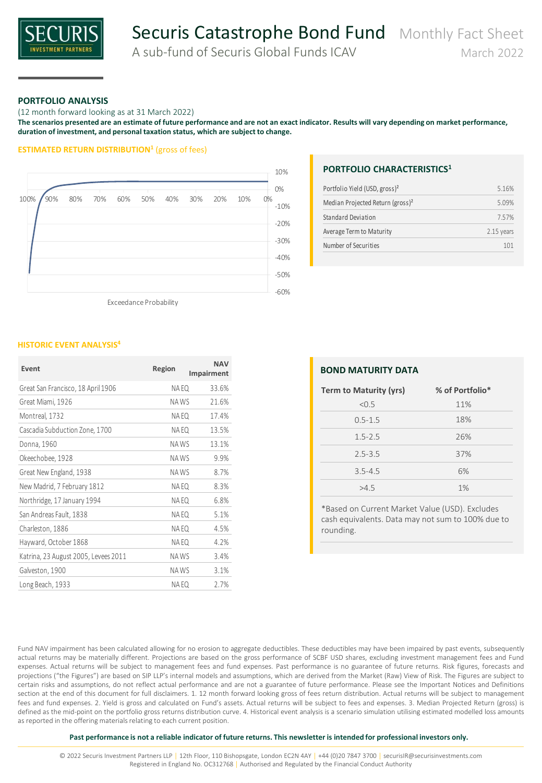

# Securis Catastrophe Bond Fund Monthly Fact Sheet

A sub-fund of Securis Global Funds ICAV March 2022

#### **PORTFOLIO ANALYSIS**

(12 month forward looking as at 31 March 2022)

**The scenarios presented are an estimate of future performance and are not an exact indicator. Results will vary depending on market performance, duration of investment, and personal taxation status, which are subject to change.**

#### **ESTIMATED RETURN DISTRIBUTION<sup>1</sup>** (gross of fees)



Exceedance Probability

#### **HISTORIC EVENT ANALYSIS<sup>4</sup>**

| Event                                | Region | <b>NAV</b><br>Impairment |
|--------------------------------------|--------|--------------------------|
| Great San Francisco, 18 April 1906   | NA EQ  | 33.6%                    |
| Great Miami, 1926                    | NA WS  | 21.6%                    |
| Montreal, 1732                       | NA EQ  | 17.4%                    |
| Cascadia Subduction Zone, 1700       | NA EQ  | 13.5%                    |
| Donna, 1960                          | NA WS  | 13.1%                    |
| Okeechobee, 1928                     | NA WS  | 9.9%                     |
| Great New England, 1938              | NA WS  | 8.7%                     |
| New Madrid, 7 February 1812          | NA EQ  | 8.3%                     |
| Northridge, 17 January 1994          | NA EQ  | 6.8%                     |
| San Andreas Fault, 1838              | NA EQ  | 5.1%                     |
| Charleston, 1886                     | NA EQ  | 4.5%                     |
| Hayward, October 1868                | NA EQ  | 4.2%                     |
| Katrina, 23 August 2005, Levees 2011 | NAWS   | 3.4%                     |
| Galveston, 1900                      | NA WS  | 3.1%                     |
| Long Beach, 1933                     | NA EQ  | 2.7%                     |

### **PORTFOLIO CHARACTERISTICS<sup>1</sup>**

| Number of Securities                         | 101        |
|----------------------------------------------|------------|
| Average Term to Maturity                     | 2.15 years |
| Standard Deviation                           | 757%       |
| Median Projected Return (gross) <sup>2</sup> | 5.09%      |
| Portfolio Yield (USD, gross) <sup>2</sup>    | 516%       |

| <b>BOND MATURITY DATA</b> |                 |  |  |  |  |  |  |  |
|---------------------------|-----------------|--|--|--|--|--|--|--|
| Term to Maturity (yrs)    | % of Portfolio* |  |  |  |  |  |  |  |
| < 0.5                     | 11%             |  |  |  |  |  |  |  |
| $0.5 - 1.5$               | 18%             |  |  |  |  |  |  |  |
| $1.5 - 2.5$               | 26%             |  |  |  |  |  |  |  |
| $2.5 - 3.5$               | 37%             |  |  |  |  |  |  |  |
| $3.5 - 4.5$               | 6%              |  |  |  |  |  |  |  |
| >4.5                      | 1%              |  |  |  |  |  |  |  |

\*Based on Current Market Value (USD). Excludes cash equivalents. Data may not sum to 100% due to rounding.

Fund NAV impairment has been calculated allowing for no erosion to aggregate deductibles. These deductibles may have been impaired by past events, subsequently actual returns may be materially different. Projections are based on the gross performance of SCBF USD shares, excluding investment management fees and Fund expenses. Actual returns will be subject to management fees and fund expenses. Past performance is no guarantee of future returns. Risk figures, forecasts and projections ("the Figures") are based on SIP LLP's internal models and assumptions, which are derived from the Market (Raw) View of Risk. The Figures are subject to certain risks and assumptions, do not reflect actual performance and are not a guarantee of future performance. Please see the Important Notices and Definitions section at the end of this document for full disclaimers. 1. 12 month forward looking gross of fees return distribution. Actual returns will be subject to management fees and fund expenses. 2. Yield is gross and calculated on Fund's assets. Actual returns will be subject to fees and expenses. 3. Median Projected Return (gross) is defined as the mid-point on the portfolio gross returns distribution curve. 4. Historical event analysis is a scenario simulation utilising estimated modelled loss amounts as reported in the offering materials relating to each current position.

**Past performance is not a reliable indicator of future returns. This newsletter is intended for professional investors only.** 

© 2022 Securis Investment Partners LLP │ 12th Floor, 110 Bishopsgate, London EC2N 4AY │ +44 (0)20 7847 3700 │ securisIR@securisinvestments.com Registered in England No. OC312768 | Authorised and Regulated by the Financial Conduct Authority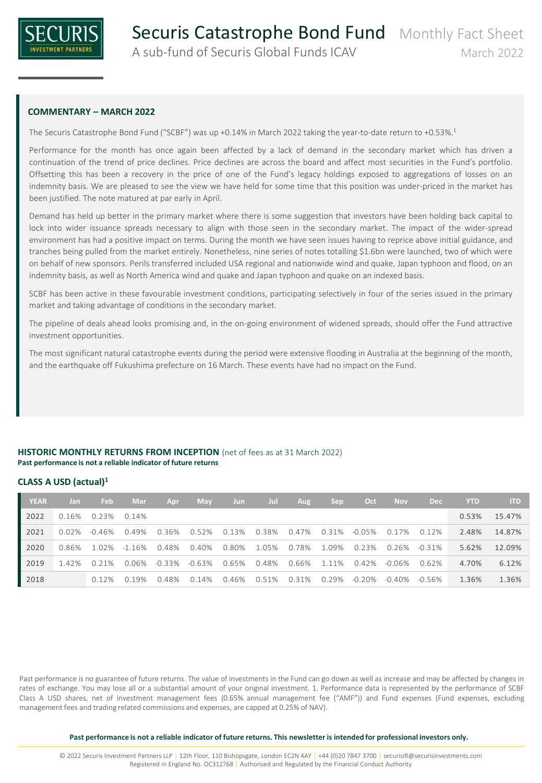

## **COMMENTARY – MARCH 2022**

The Securis Catastrophe Bond Fund ("SCBF") was up +0.14% in March 2022 taking the year-to-date return to +0.53%. 1

Performance for the month has once again been affected by a lack of demand in the secondary market which has driven a continuation of the trend of price declines. Price declines are across the board and affect most securities in the Fund's portfolio. Offsetting this has been a recovery in the price of one of the Fund's legacy holdings exposed to aggregations of losses on an indemnity basis. We are pleased to see the view we have held for some time that this position was under-priced in the market has been justified. The note matured at par early in April.

Demand has held up better in the primary market where there is some suggestion that investors have been holding back capital to lock into wider issuance spreads necessary to align with those seen in the secondary market. The impact of the wider-spread environment has had a positive impact on terms. During the month we have seen issues having to reprice above initial guidance, and tranches being pulled from the market entirely. Nonetheless, nine series of notes totalling \$1.6bn were launched, two of which were on behalf of new sponsors. Perils transferred included USA regional and nationwide wind and quake, Japan typhoon and flood, on an indemnity basis, as well as North America wind and quake and Japan typhoon and quake on an indexed basis.

SCBF has been active in these favourable investment conditions, participating selectively in four of the series issued in the primary market and taking advantage of conditions in the secondary market.

The pipeline of deals ahead looks promising and, in the on-going environment of widened spreads, should offer the Fund attractive investment opportunities.

The most significant natural catastrophe events during the period were extensive flooding in Australia at the beginning of the month, and the earthquake off Fukushima prefecture on 16 March. These events have had no impact on the Fund.

### **HISTORIC MONTHLY RETURNS FROM INCEPTION** (net of fees as at 31 March 2022) **Past performance is not a reliable indicator of future returns**

## **CLASS A USD (actual)<sup>1</sup>**

| <b>YEAR</b> | Jan   | <b>Feb</b>  | Mar       | Apr    | <b>May</b> | Jun         | Jul         | Aug                     | <b>Sep</b> | Oct       | <b>Nov</b> | <b>Dec</b> | <b>YTD</b> | <b>ITD</b> |
|-------------|-------|-------------|-----------|--------|------------|-------------|-------------|-------------------------|------------|-----------|------------|------------|------------|------------|
| 2022        | 0.16% | 0.23% 0.14% |           |        |            |             |             |                         |            |           |            |            | 0.53%      | 15.47%     |
| 2021        | 0.02% | -0.46%      | 0.49%     | 0.36%  | 0.52%      |             |             | 0.13% 0.38% 0.47% 0.31% |            | -0.05%    | 0.17%      | 0.12%      | 2.48%      | 14.87%     |
| 2020        | 0.86% | 1.02%       | $-1.16\%$ | 0.48%  | 0.40%      | 0.80%       | 1.05%       | 0.78%                   | 1.09%      | 0.23%     | 0.26%      | -0.31%     | 5.62%      | 12.09%     |
| 2019        | 1.42% | 0.21%       | 0.06%     | -0.33% | -0.63%     |             | 0.65% 0.48% | 0.66%                   | 1.11%      | 0.42%     | -0.06%     | 0.62%      | 4.70%      | 6.12%      |
| 2018        |       | 0.12%       | 0.19%     | 0.48%  | 0.14%      | 0.46% 0.51% |             | 0.31%                   | 0.29%      | $-0.20\%$ | -0.40%     | -0.56%     | 1.36%      | 1.36%      |

Past performance is no guarantee of future returns. The value of investments in the Fund can go down as well as increase and may be affected by changes in rates of exchange. You may lose all or a substantial amount of your original investment. 1. Performance data is represented by the performance of SCBF Class A USD shares, net of investment management fees (0.65% annual management fee ("AMF")) and Fund expenses (Fund expenses, excluding management fees and trading related commissions and expenses, are capped at 0.25% of NAV).

**Past performance is not a reliable indicator of future returns. This newsletter is intended for professional investors only.**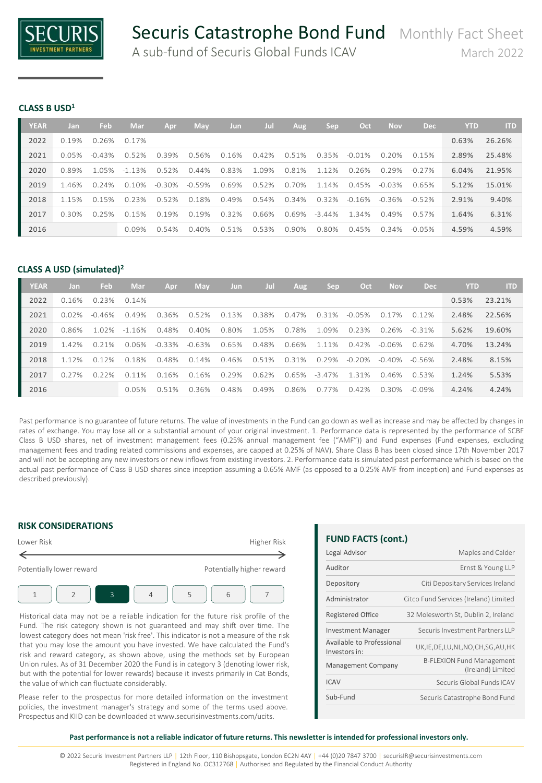

#### **CLASS B USD<sup>1</sup>**

| <b>YEAR</b> | Jan      | Feb       | Mar       | Apr       | May      | <b>Jun</b> | Jul   | Aug      | Sep       | Oct       | <b>Nov</b> | <b>Dec</b> | <b>YTD</b> | <b>ITD</b> |
|-------------|----------|-----------|-----------|-----------|----------|------------|-------|----------|-----------|-----------|------------|------------|------------|------------|
| 2022        | 0.19%    | 0.26%     | 0.17%     |           |          |            |       |          |           |           |            |            | 0.63%      | 26.26%     |
| 2021        | $0.05\%$ | $-0.43\%$ | 0.52%     | 0.39%     | 0.56%    | 0.16%      | 0.42% | 0.51%    | 0.35%     | $-0.01\%$ | 0.20%      | 0.15%      | 2.89%      | 25.48%     |
| 2020        | 0.89%    | 1.05%     | $-1.13\%$ | 0.52%     | $0.44\%$ | 0.83%      | 1.09% | 0.81%    | 1.12%     | 0.26%     | 0.29%      | $-0.27\%$  | 6.04%      | 21.95%     |
| 2019        | 146%     | 0.24%     | $0.10\%$  | $-0.30\%$ | $-0.59%$ | 0.69%      | 0.52% | 0.70%    | 1 1 4 %   | 0.45%     | $-0.03\%$  | 0.65%      | 5.12%      | 15.01%     |
| 2018        | 115%     | 0.15%     | 0.23%     | 0.52%     | 0.18%    | 0.49%      | 0.54% | 0.34%    | 0.32%     | -0.16%    | -0.36%     | $-0.52\%$  | 2.91%      | 9.40%      |
| 2017        | $0.30\%$ | 0.25%     | 0.15%     | 0.19%     | 0.19%    | 0.32%      | 0.66% | 0.69%    | $-3.44\%$ | 1.34%     | 0.49%      | 0.57%      | 1.64%      | 6.31%      |
| 2016        |          |           | $0.09\%$  | 0.54%     | 0.40%    | 0.51%      | 0.53% | $0.90\%$ | 0.80%     | 0.45%     | 0.34%      | $-0.05\%$  | 4.59%      | 4.59%      |

# **CLASS A USD (simulated)<sup>2</sup>**

| <b>YEAR</b> | Jan     | Feb       | Mar       | Apr       | May      | <b>Jun</b> | Jur   | Aug   | Sep       | Oct       | <b>Nov</b> | <b>Dec</b> | <b>YTD</b> | <b>ITD</b> |
|-------------|---------|-----------|-----------|-----------|----------|------------|-------|-------|-----------|-----------|------------|------------|------------|------------|
| 2022        | 0.16%   | 0.23%     | 0.14%     |           |          |            |       |       |           |           |            |            | 0.53%      | 23.21%     |
| 2021        | 0.02%   | $-0.46\%$ | 0.49%     | 0.36%     | 0.52%    | 0.13%      | 0.38% | 0.47% | 0.31%     | $-0.05\%$ | 7%<br>0.1  | 0.12%      | 2.48%      | 22.56%     |
| 2020        | 0.86%   | 1.02%     | $-1.16%$  | 0.48%     | $0.40\%$ | 0.80%      | 1.05% | 0.78% | 1.09%     | 0.23%     | 0.26%      | $-0.31\%$  | 5.62%      | 19.60%     |
| 2019        | 142%    | 0.21%     | 0.06%     | $-0.33\%$ | $-0.63%$ | 0.65%      | 0.48% | 0.66% | 1.11%     | $0.42\%$  | $-0.06\%$  | 0.62%      | 4.70%      | 13.24%     |
| 2018        | 1 1 2 % | 0.12%     | 0.18%     | 0.48%     | 0.14%    | 0.46%      | 0.51% | 0.31% | 0.29%     | $-0.20\%$ | $-0.40\%$  | $-0.56\%$  | 2.48%      | 8.15%      |
| 2017        | 0.27%   | 0.22%     | 1%<br>O 1 | 0.16%     | 0.16%    | 0.29%      | 0.62% | 0.65% | $-3.47\%$ | 131%      | 0.46%      | 0.53%      | 1.24%      | 5.53%      |
| 2016        |         |           | 0.05%     | 0.51%     | 0.36%    | 0.48%      | 0.49% | 0.86% | 0.77%     | $0.42\%$  | 0.30%      | $-0.09\%$  | 4.24%      | 4.24%      |

Past performance is no guarantee of future returns. The value of investments in the Fund can go down as well as increase and may be affected by changes in rates of exchange. You may lose all or a substantial amount of your original investment. 1. Performance data is represented by the performance of SCBF Class B USD shares, net of investment management fees (0.25% annual management fee ("AMF")) and Fund expenses (Fund expenses, excluding management fees and trading related commissions and expenses, are capped at 0.25% of NAV). Share Class B has been closed since 17th November 2017 and will not be accepting any new investors or new inflows from existing investors. 2. Performance data is simulated past performance which is based on the actual past performance of Class B USD shares since inception assuming a 0.65% AMF (as opposed to a 0.25% AMF from inception) and Fund expenses as described previously).

## **RISK CONSIDERATIONS**



Historical data may not be a reliable indication for the future risk profile of the Fund. The risk category shown is not guaranteed and may shift over time. The lowest category does not mean 'risk free'. This indicator is not a measure of the risk that you may lose the amount you have invested. We have calculated the Fund's risk and reward category, as shown above, using the methods set by European Union rules. As of 31 December 2020 the Fund is in category 3 (denoting lower risk, but with the potential for lower rewards) because it invests primarily in Cat Bonds, the value of which can fluctuate considerably.

Please refer to the prospectus for more detailed information on the investment policies, the investment manager's strategy and some of the terms used above. Prospectus and KIID can be downloaded at www.securisinvestments.com/ucits.

# **FUND FACTS (cont.)**

| Legal Advisor                              | Maples and Calder                                     |
|--------------------------------------------|-------------------------------------------------------|
| Auditor                                    | Ernst & Young LLP                                     |
| Depository                                 | Citi Depositary Services Ireland                      |
| Administrator                              | Citco Fund Services (Ireland) Limited                 |
| <b>Registered Office</b>                   | 32 Molesworth St, Dublin 2, Ireland                   |
| <b>Investment Manager</b>                  | Securis Investment Partners IIP                       |
| Available to Professional<br>Investors in: | UK, IE, DE, LU, NL, NO, CH, SG, AU, HK                |
| <b>Management Company</b>                  | <b>B-FLEXION Fund Management</b><br>(Ireland) Limited |
| <b>ICAV</b>                                | Securis Global Funds ICAV                             |
| Sub-Fund                                   | Securis Catastrophe Bond Fund                         |

#### **Past performance is not a reliable indicator of future returns. This newsletter is intended for professional investors only.**